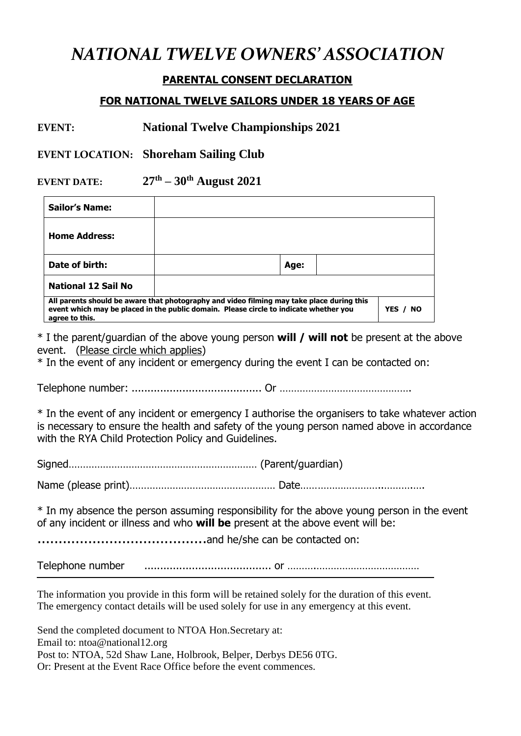# *NATIONAL TWELVE OWNERS' ASSOCIATION*

## **PARENTAL CONSENT DECLARATION**

### **FOR NATIONAL TWELVE SAILORS UNDER 18 YEARS OF AGE**

## **EVENT: National Twelve Championships 2021**

**EVENT LOCATION: Shoreham Sailing Club**

**EVENT DATE: th – 30 th August 2021**

| <b>Sailor's Name:</b>                                                                                                                                                                                            |  |      |  |  |
|------------------------------------------------------------------------------------------------------------------------------------------------------------------------------------------------------------------|--|------|--|--|
| <b>Home Address:</b>                                                                                                                                                                                             |  |      |  |  |
| Date of birth:                                                                                                                                                                                                   |  | Age: |  |  |
| <b>National 12 Sail No</b>                                                                                                                                                                                       |  |      |  |  |
| All parents should be aware that photography and video filming may take place during this<br>event which may be placed in the public domain. Please circle to indicate whether you<br>YES / NO<br>agree to this. |  |      |  |  |

\* I the parent/guardian of the above young person **will / will not** be present at the above event. (Please circle which applies)

\* In the event of any incident or emergency during the event I can be contacted on:

Telephone number: ......................................... Or ……………………………………….

\* In the event of any incident or emergency I authorise the organisers to take whatever action is necessary to ensure the health and safety of the young person named above in accordance with the RYA Child Protection Policy and Guidelines.

Signed………………………………………………………… (Parent/guardian)

Name (please print)…………………………………………… Date………………………..……….….

\* In my absence the person assuming responsibility for the above young person in the event of any incident or illness and who **will be** present at the above event will be:

........................................and he/she can be contacted on:

Telephone number ........................................ or ……….………………………………

The information you provide in this form will be retained solely for the duration of this event. The emergency contact details will be used solely for use in any emergency at this event.

Send the completed document to NTOA Hon.Secretary at: Email to: ntoa@national12.org Post to: NTOA, 52d Shaw Lane, Holbrook, Belper, Derbys DE56 0TG. Or: Present at the Event Race Office before the event commences.